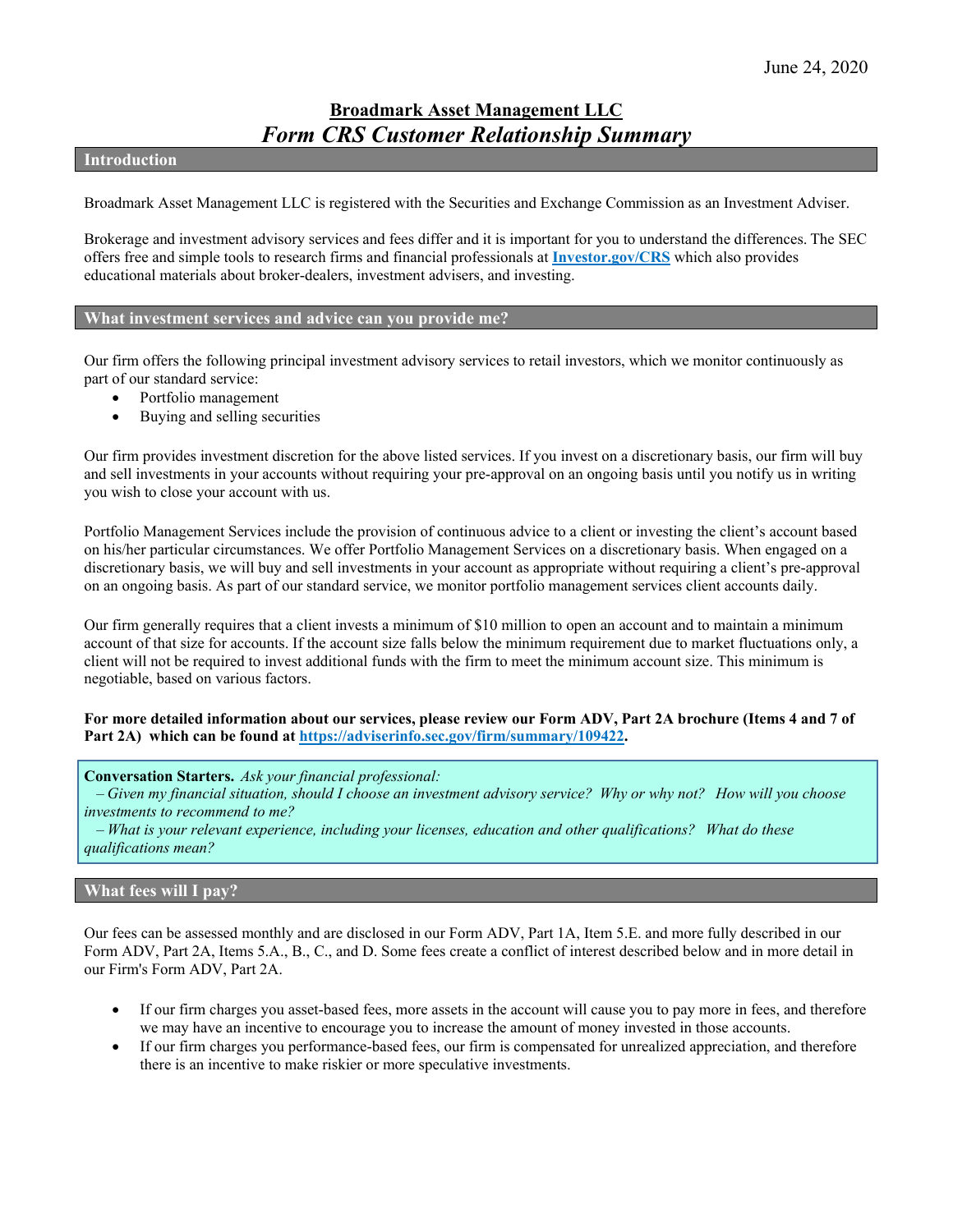# **Broadmark Asset Management LLC** *Form CRS Customer Relationship Summary*

### **Introduction**

Broadmark Asset Management LLC is registered with the Securities and Exchange Commission as an Investment Adviser.

Brokerage and investment advisory services and fees differ and it is important for you to understand the differences. The SEC offers free and simple tools to research firms and financial professionals at **[Investor.gov/CRS](https://www.investor.gov/CRS)** which also provides educational materials about broker-dealers, investment advisers, and investing.

## **What investment services and advice can you provide me?**

Our firm offers the following principal investment advisory services to retail investors, which we monitor continuously as part of our standard service:

- Portfolio management
- Buying and selling securities

Our firm provides investment discretion for the above listed services. If you invest on a discretionary basis, our firm will buy and sell investments in your accounts without requiring your pre-approval on an ongoing basis until you notify us in writing you wish to close your account with us.

Portfolio Management Services include the provision of continuous advice to a client or investing the client's account based on his/her particular circumstances. We offer Portfolio Management Services on a discretionary basis. When engaged on a discretionary basis, we will buy and sell investments in your account as appropriate without requiring a client's pre-approval on an ongoing basis. As part of our standard service, we monitor portfolio management services client accounts daily.

Our firm generally requires that a client invests a minimum of \$10 million to open an account and to maintain a minimum account of that size for accounts. If the account size falls below the minimum requirement due to market fluctuations only, a client will not be required to invest additional funds with the firm to meet the minimum account size. This minimum is negotiable, based on various factors.

### **For more detailed information about our services, please review our Form ADV, Part 2A brochure (Items 4 and 7 of Part 2A) which can be found at [https://adviserinfo.sec.gov/firm/summary/109422.](https://adviserinfo.sec.gov/firm/summary/109422)**

**Conversation Starters.***Ask your financial professional:*

*– Given my financial situation, should I choose an investment advisory service?  Why or why not?   How will you choose investments to recommend to me?*

*– What is your relevant experience, including your licenses, education and other qualifications?   What do these qualifications mean?*

## **What fees will I pay?**

Our fees can be assessed monthly and are disclosed in our Form ADV, Part 1A, Item 5.E. and more fully described in our Form ADV, Part 2A, Items 5.A., B., C., and D. Some fees create a conflict of interest described below and in more detail in our Firm's Form ADV, Part 2A.

- If our firm charges you asset-based fees, more assets in the account will cause you to pay more in fees, and therefore we may have an incentive to encourage you to increase the amount of money invested in those accounts.
- If our firm charges you performance-based fees, our firm is compensated for unrealized appreciation, and therefore there is an incentive to make riskier or more speculative investments.